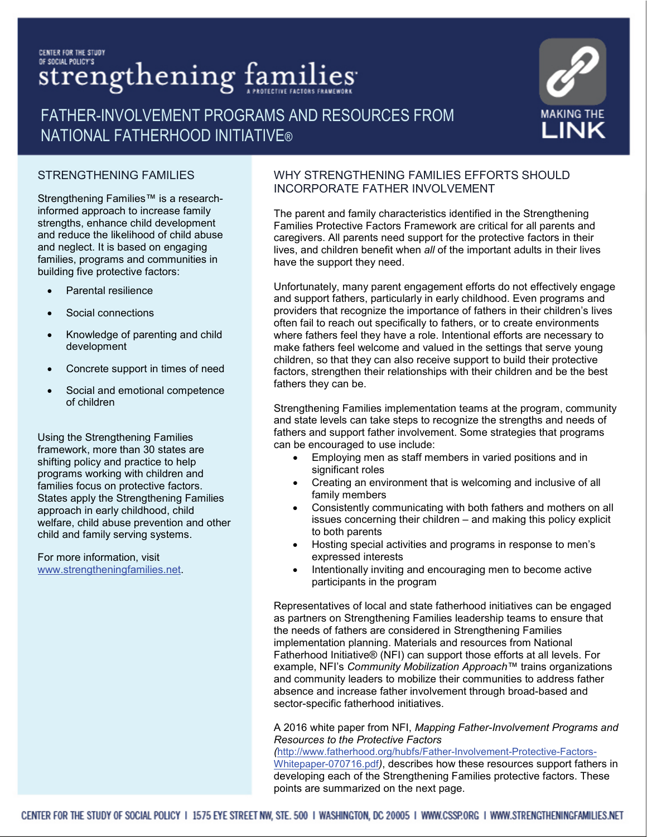### CENTER FOR THE STUDY OF SOCIAL POLICY'S strengthening families

FATHER-INVOLVEMENT PROGRAMS AND RESOURCES FROM NATIONAL FATHERHOOD INITIATIVE®



### STRENGTHENING FAMILIES

Strengthening Families™ is a researchinformed approach to increase family strengths, enhance child development and reduce the likelihood of child abuse and neglect. It is based on engaging families, programs and communities in building five protective factors:

- Parental resilience
- Social connections
- Knowledge of parenting and child development
- Concrete support in times of need
- Social and emotional competence of children

Using the Strengthening Families framework, more than 30 states are shifting policy and practice to help programs working with children and families focus on protective factors. States apply the Strengthening Families approach in early childhood, child welfare, child abuse prevention and other child and family serving systems.

For more information, visit [www.strengtheningfamilies.net.](http://www.strengtheningfamilies.net/)

### WHY STRENGTHENING FAMILIES EFFORTS SHOULD INCORPORATE FATHER INVOLVEMENT

The parent and family characteristics identified in the Strengthening Families Protective Factors Framework are critical for all parents and caregivers. All parents need support for the protective factors in their lives, and children benefit when *all* of the important adults in their lives have the support they need.

Unfortunately, many parent engagement efforts do not effectively engage and support fathers, particularly in early childhood. Even programs and providers that recognize the importance of fathers in their children's lives often fail to reach out specifically to fathers, or to create environments where fathers feel they have a role. Intentional efforts are necessary to make fathers feel welcome and valued in the settings that serve young children, so that they can also receive support to build their protective factors, strengthen their relationships with their children and be the best fathers they can be.

Strengthening Families implementation teams at the program, community and state levels can take steps to recognize the strengths and needs of fathers and support father involvement. Some strategies that programs can be encouraged to use include:

- Employing men as staff members in varied positions and in significant roles
- Creating an environment that is welcoming and inclusive of all family members
- Consistently communicating with both fathers and mothers on all issues concerning their children – and making this policy explicit to both parents
- Hosting special activities and programs in response to men's expressed interests
- Intentionally inviting and encouraging men to become active participants in the program

Representatives of local and state fatherhood initiatives can be engaged as partners on Strengthening Families leadership teams to ensure that the needs of fathers are considered in Strengthening Families implementation planning. Materials and resources from National Fatherhood Initiative® (NFI) can support those efforts at all levels. For example, NFI's *Community Mobilization Approach™* trains organizations and community leaders to mobilize their communities to address father absence and increase father involvement through broad-based and sector-specific fatherhood initiatives.

A 2016 white paper from NFI, *Mapping Father-Involvement Programs and Resources to the Protective Factors* 

*(*[http://www.fatherhood.org/hubfs/Father-Involvement-Protective-Factors-](http://www.fatherhood.org/hubfs/Father-Involvement-Protective-Factors-Whitepaper-070716.pdf)[Whitepaper-070716.pdf](http://www.fatherhood.org/hubfs/Father-Involvement-Protective-Factors-Whitepaper-070716.pdf)*)*, describes how these resources support fathers in developing each of the Strengthening Families protective factors. These points are summarized on the next page.